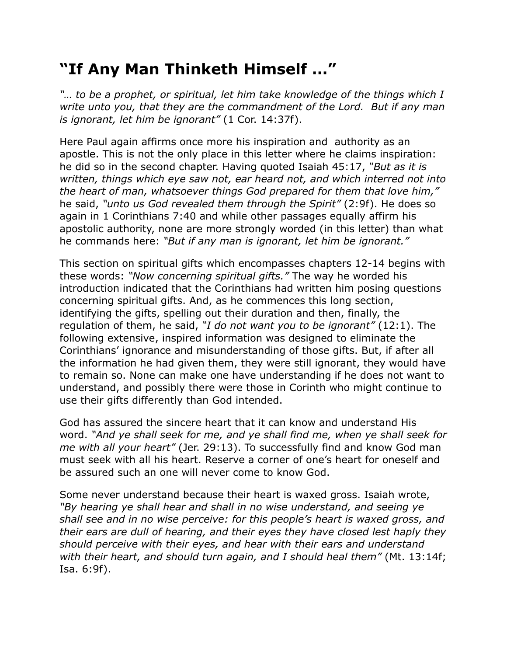## **"If Any Man Thinketh Himself …"**

*"… to be a prophet, or spiritual, let him take knowledge of the things which I write unto you, that they are the commandment of the Lord. But if any man is ignorant, let him be ignorant"* (1 Cor. 14:37f).

Here Paul again affirms once more his inspiration and authority as an apostle. This is not the only place in this letter where he claims inspiration: he did so in the second chapter. Having quoted Isaiah 45:17, *"But as it is written, things which eye saw not, ear heard not, and which interred not into the heart of man, whatsoever things God prepared for them that love him,"* he said, *"unto us God revealed them through the Spirit"* (2:9f). He does so again in 1 Corinthians 7:40 and while other passages equally affirm his apostolic authority, none are more strongly worded (in this letter) than what he commands here: *"But if any man is ignorant, let him be ignorant."*

This section on spiritual gifts which encompasses chapters 12-14 begins with these words: *"Now concerning spiritual gifts."* The way he worded his introduction indicated that the Corinthians had written him posing questions concerning spiritual gifts. And, as he commences this long section, identifying the gifts, spelling out their duration and then, finally, the regulation of them, he said, *"I do not want you to be ignorant"* (12:1). The following extensive, inspired information was designed to eliminate the Corinthians' ignorance and misunderstanding of those gifts. But, if after all the information he had given them, they were still ignorant, they would have to remain so. None can make one have understanding if he does not want to understand, and possibly there were those in Corinth who might continue to use their gifts differently than God intended.

God has assured the sincere heart that it can know and understand His word. *"And ye shall seek for me, and ye shall find me, when ye shall seek for me with all your heart"* (Jer. 29:13). To successfully find and know God man must seek with all his heart. Reserve a corner of one's heart for oneself and be assured such an one will never come to know God.

Some never understand because their heart is waxed gross. Isaiah wrote, *"By hearing ye shall hear and shall in no wise understand, and seeing ye shall see and in no wise perceive: for this people's heart is waxed gross, and their ears are dull of hearing, and their eyes they have closed lest haply they should perceive with their eyes, and hear with their ears and understand with their heart, and should turn again, and I should heal them"* (Mt. 13:14f; Isa. 6:9f).